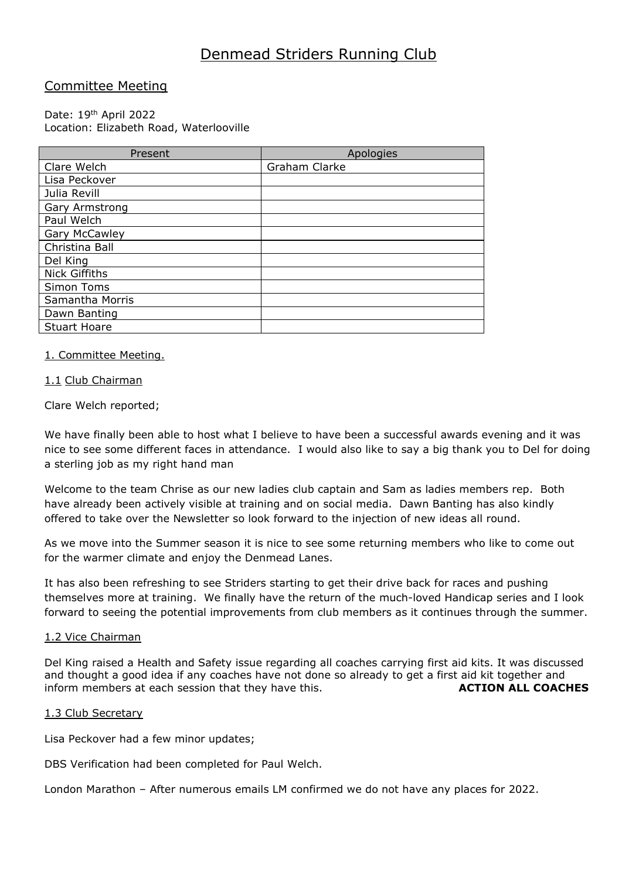# Denmead Striders Running Club

# Committee Meeting

# Date: 19<sup>th</sup> April 2022 Location: Elizabeth Road, Waterlooville

| Present              | Apologies     |
|----------------------|---------------|
| Clare Welch          | Graham Clarke |
| Lisa Peckover        |               |
| Julia Revill         |               |
| Gary Armstrong       |               |
| Paul Welch           |               |
| Gary McCawley        |               |
| Christina Ball       |               |
| Del King             |               |
| <b>Nick Giffiths</b> |               |
| Simon Toms           |               |
| Samantha Morris      |               |
| Dawn Banting         |               |
| <b>Stuart Hoare</b>  |               |

# 1. Committee Meeting.

# 1.1 Club Chairman

Clare Welch reported;

We have finally been able to host what I believe to have been a successful awards evening and it was nice to see some different faces in attendance. I would also like to say a big thank you to Del for doing a sterling job as my right hand man

Welcome to the team Chrise as our new ladies club captain and Sam as ladies members rep. Both have already been actively visible at training and on social media. Dawn Banting has also kindly offered to take over the Newsletter so look forward to the injection of new ideas all round.

As we move into the Summer season it is nice to see some returning members who like to come out for the warmer climate and enjoy the Denmead Lanes.

It has also been refreshing to see Striders starting to get their drive back for races and pushing themselves more at training. We finally have the return of the much-loved Handicap series and I look forward to seeing the potential improvements from club members as it continues through the summer.

## 1.2 Vice Chairman

Del King raised a Health and Safety issue regarding all coaches carrying first aid kits. It was discussed and thought a good idea if any coaches have not done so already to get a first aid kit together and inform members at each session that they have this. **ACTION ALL COACHES** 

## 1.3 Club Secretary

Lisa Peckover had a few minor updates;

DBS Verification had been completed for Paul Welch.

London Marathon – After numerous emails LM confirmed we do not have any places for 2022.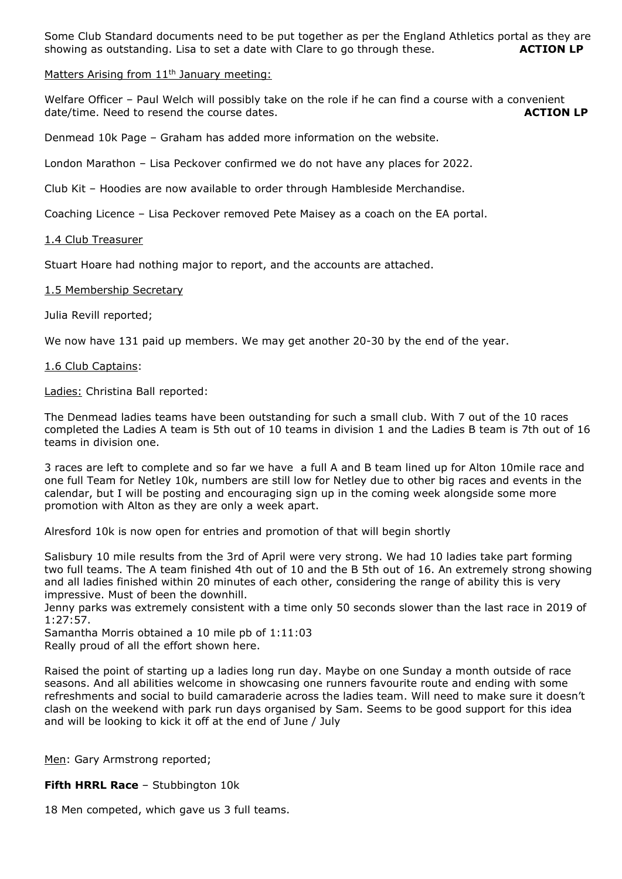Some Club Standard documents need to be put together as per the England Athletics portal as they are showing as outstanding. Lisa to set a date with Clare to go through these. **ACTION LP**

## Matters Arising from 11<sup>th</sup> January meeting:

Welfare Officer - Paul Welch will possibly take on the role if he can find a course with a convenient date/time. Need to resend the course dates. **ACTION LP** 

Denmead 10k Page – Graham has added more information on the website.

London Marathon – Lisa Peckover confirmed we do not have any places for 2022.

Club Kit – Hoodies are now available to order through Hambleside Merchandise.

Coaching Licence – Lisa Peckover removed Pete Maisey as a coach on the EA portal.

## 1.4 Club Treasurer

Stuart Hoare had nothing major to report, and the accounts are attached.

#### 1.5 Membership Secretary

Julia Revill reported;

We now have 131 paid up members. We may get another 20-30 by the end of the year.

#### 1.6 Club Captains:

Ladies: Christina Ball reported:

The Denmead ladies teams have been outstanding for such a small club. With 7 out of the 10 races completed the Ladies A team is 5th out of 10 teams in division 1 and the Ladies B team is 7th out of 16 teams in division one.

3 races are left to complete and so far we have a full A and B team lined up for Alton 10mile race and one full Team for Netley 10k, numbers are still low for Netley due to other big races and events in the calendar, but I will be posting and encouraging sign up in the coming week alongside some more promotion with Alton as they are only a week apart.

Alresford 10k is now open for entries and promotion of that will begin shortly

Salisbury 10 mile results from the 3rd of April were very strong. We had 10 ladies take part forming two full teams. The A team finished 4th out of 10 and the B 5th out of 16. An extremely strong showing and all ladies finished within 20 minutes of each other, considering the range of ability this is very impressive. Must of been the downhill.

Jenny parks was extremely consistent with a time only 50 seconds slower than the last race in 2019 of 1:27:57.

Samantha Morris obtained a 10 mile pb of 1:11:03

Really proud of all the effort shown here.

Raised the point of starting up a ladies long run day. Maybe on one Sunday a month outside of race seasons. And all abilities welcome in showcasing one runners favourite route and ending with some refreshments and social to build camaraderie across the ladies team. Will need to make sure it doesn't clash on the weekend with park run days organised by Sam. Seems to be good support for this idea and will be looking to kick it off at the end of June / July

Men: Gary Armstrong reported;

**Fifth HRRL Race** – Stubbington 10k

18 Men competed, which gave us 3 full teams.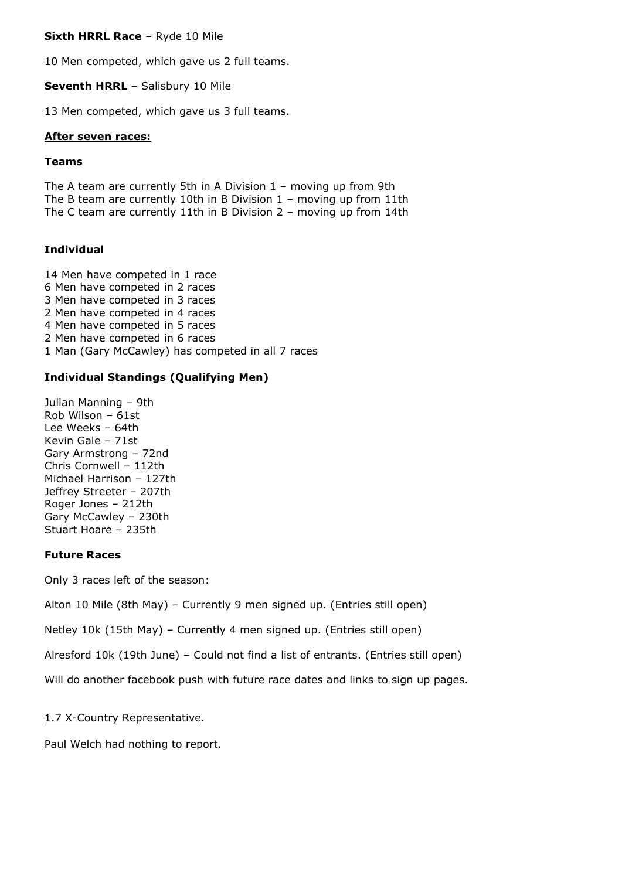**Sixth HRRL Race** – Ryde 10 Mile

10 Men competed, which gave us 2 full teams.

**Seventh HRRL** – Salisbury 10 Mile

13 Men competed, which gave us 3 full teams.

# **After seven races:**

# **Teams**

The A team are currently 5th in A Division  $1$  – moving up from 9th The B team are currently 10th in B Division 1 – moving up from 11th The C team are currently 11th in B Division 2 – moving up from 14th

# **Individual**

14 Men have competed in 1 race 6 Men have competed in 2 races 3 Men have competed in 3 races 2 Men have competed in 4 races 4 Men have competed in 5 races 2 Men have competed in 6 races 1 Man (Gary McCawley) has competed in all 7 races

# **Individual Standings (Qualifying Men)**

Julian Manning – 9th Rob Wilson – 61st Lee Weeks – 64th Kevin Gale – 71st Gary Armstrong – 72nd Chris Cornwell – 112th Michael Harrison – 127th Jeffrey Streeter – 207th Roger Jones – 212th Gary McCawley – 230th Stuart Hoare – 235th

# **Future Races**

Only 3 races left of the season:

Alton 10 Mile (8th May) – Currently 9 men signed up. (Entries still open)

Netley 10k (15th May) – Currently 4 men signed up. (Entries still open)

Alresford 10k (19th June) – Could not find a list of entrants. (Entries still open)

Will do another facebook push with future race dates and links to sign up pages.

# 1.7 X-Country Representative.

Paul Welch had nothing to report.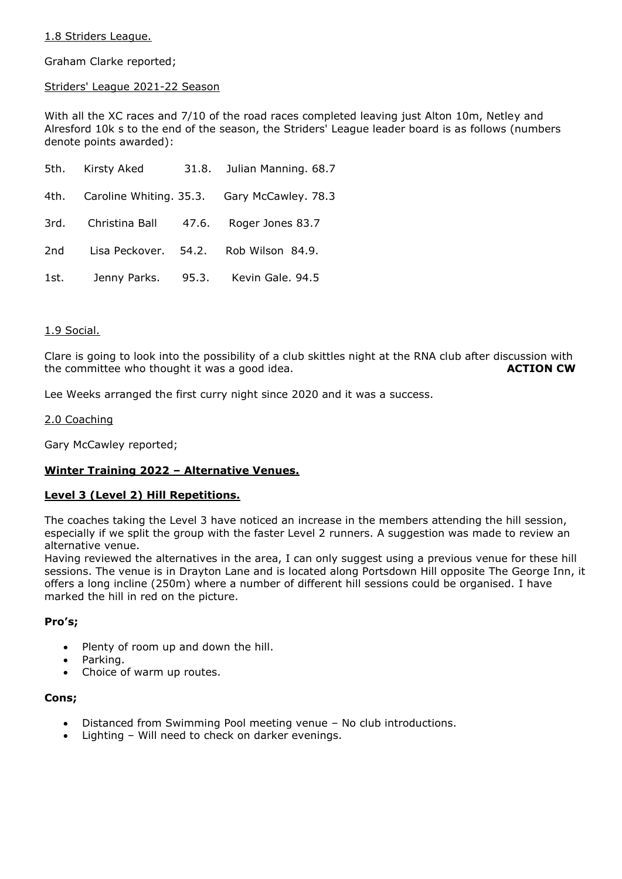# 1.8 Striders League.

Graham Clarke reported;

# Striders' League 2021-22 Season

With all the XC races and 7/10 of the road races completed leaving just Alton 10m, Netley and Alresford 10k s to the end of the season, the Striders' League leader board is as follows (numbers denote points awarded):

|      | 5th. Kirsty Aked    |       | 31.8. Julian Manning. 68.7                       |
|------|---------------------|-------|--------------------------------------------------|
|      |                     |       | 4th. Caroline Whiting. 35.3. Gary McCawley. 78.3 |
|      | 3rd. Christina Ball | 47.6. | Roger Jones 83.7                                 |
| 2nd  |                     |       | Lisa Peckover. 54.2. Rob Wilson 84.9.            |
| 1st. |                     |       | Jenny Parks. 95.3. Kevin Gale. 94.5              |

# 1.9 Social.

Clare is going to look into the possibility of a club skittles night at the RNA club after discussion with the committee who thought it was a good idea. **ACTION CW** 

Lee Weeks arranged the first curry night since 2020 and it was a success.

# 2.0 Coaching

Gary McCawley reported;

# **Winter Training 2022 – Alternative Venues.**

# **Level 3 (Level 2) Hill Repetitions.**

The coaches taking the Level 3 have noticed an increase in the members attending the hill session, especially if we split the group with the faster Level 2 runners. A suggestion was made to review an alternative venue.

Having reviewed the alternatives in the area, I can only suggest using a previous venue for these hill sessions. The venue is in Drayton Lane and is located along Portsdown Hill opposite The George Inn, it offers a long incline (250m) where a number of different hill sessions could be organised. I have marked the hill in red on the picture.

## **Pro's;**

- Plenty of room up and down the hill.
- Parking.
- Choice of warm up routes.

## **Cons;**

- Distanced from Swimming Pool meeting venue No club introductions.
- Lighting Will need to check on darker evenings.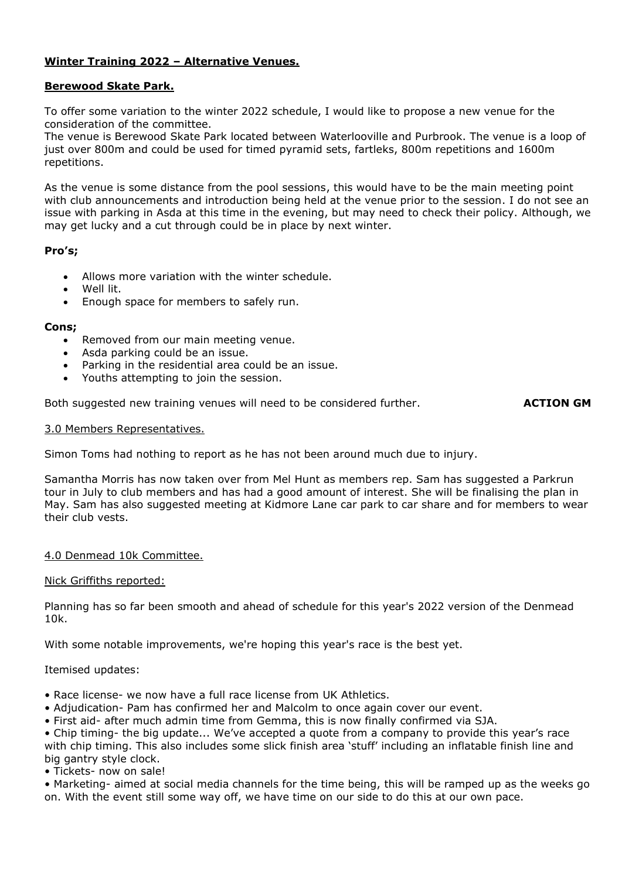# **Winter Training 2022 – Alternative Venues.**

# **Berewood Skate Park.**

To offer some variation to the winter 2022 schedule, I would like to propose a new venue for the consideration of the committee.

The venue is Berewood Skate Park located between Waterlooville and Purbrook. The venue is a loop of just over 800m and could be used for timed pyramid sets, fartleks, 800m repetitions and 1600m repetitions.

As the venue is some distance from the pool sessions, this would have to be the main meeting point with club announcements and introduction being held at the venue prior to the session. I do not see an issue with parking in Asda at this time in the evening, but may need to check their policy. Although, we may get lucky and a cut through could be in place by next winter.

# **Pro's;**

- Allows more variation with the winter schedule.
- Well lit.
- Enough space for members to safely run.

## **Cons;**

- Removed from our main meeting venue.
- Asda parking could be an issue.
- Parking in the residential area could be an issue.
- Youths attempting to join the session.

Both suggested new training venues will need to be considered further. **ACTION GM** 

## 3.0 Members Representatives.

Simon Toms had nothing to report as he has not been around much due to injury.

Samantha Morris has now taken over from Mel Hunt as members rep. Sam has suggested a Parkrun tour in July to club members and has had a good amount of interest. She will be finalising the plan in May. Sam has also suggested meeting at Kidmore Lane car park to car share and for members to wear their club vests.

# 4.0 Denmead 10k Committee.

## Nick Griffiths reported:

Planning has so far been smooth and ahead of schedule for this year's 2022 version of the Denmead 10k.

With some notable improvements, we're hoping this year's race is the best yet.

## Itemised updates:

- Race license- we now have a full race license from UK Athletics.
- Adjudication- Pam has confirmed her and Malcolm to once again cover our event.
- First aid- after much admin time from Gemma, this is now finally confirmed via SJA.
- Chip timing- the big update... We've accepted a quote from a company to provide this year's race with chip timing. This also includes some slick finish area 'stuff' including an inflatable finish line and big gantry style clock.
- Tickets- now on sale!
- Marketing- aimed at social media channels for the time being, this will be ramped up as the weeks go on. With the event still some way off, we have time on our side to do this at our own pace.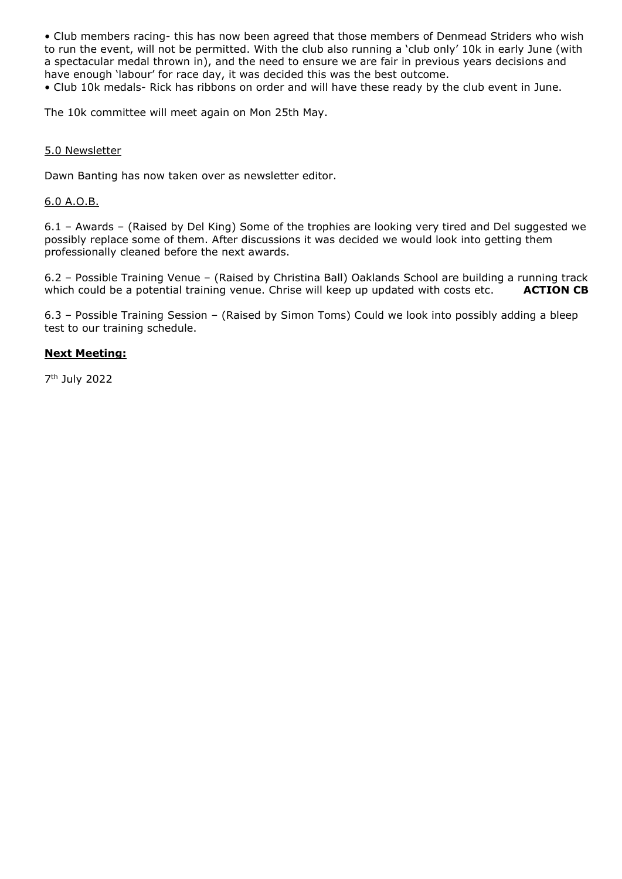• Club members racing- this has now been agreed that those members of Denmead Striders who wish to run the event, will not be permitted. With the club also running a 'club only' 10k in early June (with a spectacular medal thrown in), and the need to ensure we are fair in previous years decisions and have enough 'labour' for race day, it was decided this was the best outcome. • Club 10k medals- Rick has ribbons on order and will have these ready by the club event in June.

The 10k committee will meet again on Mon 25th May.

# 5.0 Newsletter

Dawn Banting has now taken over as newsletter editor.

# 6.0 A.O.B.

6.1 – Awards – (Raised by Del King) Some of the trophies are looking very tired and Del suggested we possibly replace some of them. After discussions it was decided we would look into getting them professionally cleaned before the next awards.

6.2 – Possible Training Venue – (Raised by Christina Ball) Oaklands School are building a running track which could be a potential training venue. Chrise will keep up updated with costs etc. **ACTION CB** 

6.3 – Possible Training Session – (Raised by Simon Toms) Could we look into possibly adding a bleep test to our training schedule.

# **Next Meeting:**

7 th July 2022